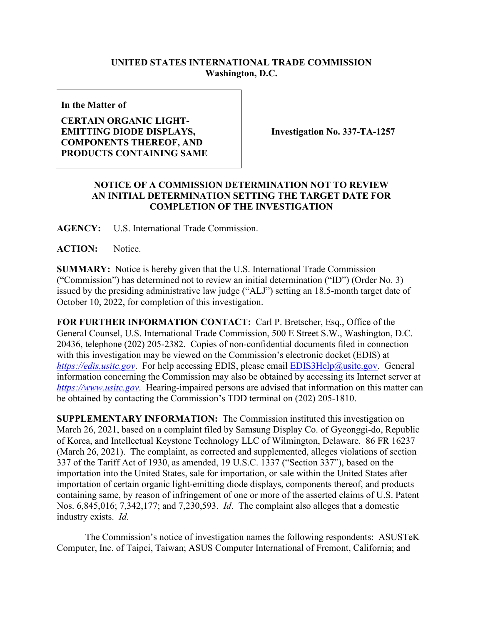## **UNITED STATES INTERNATIONAL TRADE COMMISSION Washington, D.C.**

**In the Matter of**

## **CERTAIN ORGANIC LIGHT-EMITTING DIODE DISPLAYS, COMPONENTS THEREOF, AND PRODUCTS CONTAINING SAME**

**Investigation No. 337-TA-1257**

## **NOTICE OF A COMMISSION DETERMINATION NOT TO REVIEW AN INITIAL DETERMINATION SETTING THE TARGET DATE FOR COMPLETION OF THE INVESTIGATION**

**AGENCY:** U.S. International Trade Commission.

**ACTION:** Notice.

**SUMMARY:** Notice is hereby given that the U.S. International Trade Commission ("Commission") has determined not to review an initial determination ("ID") (Order No. 3) issued by the presiding administrative law judge ("ALJ") setting an 18.5-month target date of October 10, 2022, for completion of this investigation.

**FOR FURTHER INFORMATION CONTACT:** Carl P. Bretscher, Esq., Office of the General Counsel, U.S. International Trade Commission, 500 E Street S.W., Washington, D.C. 20436, telephone (202) 205-2382. Copies of non-confidential documents filed in connection with this investigation may be viewed on the Commission's electronic docket (EDIS) at *[https://edis.usitc.gov](https://edis.usitc.gov/).* For help accessing EDIS, please email [EDIS3Help@usitc.gov.](mailto:EDIS3Help@usitc.gov) General information concerning the Commission may also be obtained by accessing its Internet server at *[https://www.usitc.gov](https://www.usitc.gov/)*. Hearing-impaired persons are advised that information on this matter can be obtained by contacting the Commission's TDD terminal on (202) 205-1810.

**SUPPLEMENTARY INFORMATION:** The Commission instituted this investigation on March 26, 2021, based on a complaint filed by Samsung Display Co. of Gyeonggi-do, Republic of Korea, and Intellectual Keystone Technology LLC of Wilmington, Delaware. 86 FR 16237 (March 26, 2021). The complaint, as corrected and supplemented, alleges violations of section 337 of the Tariff Act of 1930, as amended, 19 U.S.C. 1337 ("Section 337"), based on the importation into the United States, sale for importation, or sale within the United States after importation of certain organic light-emitting diode displays, components thereof, and products containing same, by reason of infringement of one or more of the asserted claims of U.S. Patent Nos. 6,845,016; 7,342,177; and 7,230,593. *Id*. The complaint also alleges that a domestic industry exists. *Id.*

The Commission's notice of investigation names the following respondents: ASUSTeK Computer, Inc. of Taipei, Taiwan; ASUS Computer International of Fremont, California; and